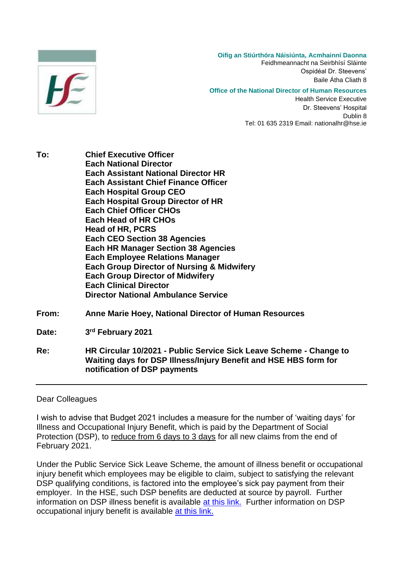

**Oifig an Stiúrthóra Náisiúnta, Acmhainní Daonna** Feidhmeannacht na Seirbhísí Sláinte Ospidéal Dr. Steevens' Baile Átha Cliath 8 **Office of the National Director of Human Resources**

> Health Service Executive Dr. Steevens' Hospital Dublin 8 Tel: 01 635 2319 Email: nationalhr@hse.ie

- **To: Chief Executive Officer Each National Director Each Assistant National Director HR Each Assistant Chief Finance Officer Each Hospital Group CEO Each Hospital Group Director of HR Each Chief Officer CHOs Each Head of HR CHOs Head of HR, PCRS Each CEO Section 38 Agencies Each HR Manager Section 38 Agencies Each Employee Relations Manager Each Group Director of Nursing & Midwifery Each Group Director of Midwifery Each Clinical Director Director National Ambulance Service**
- **From: Anne Marie Hoey, National Director of Human Resources**

Date: **rd February 2021**

**Re: HR Circular 10/2021 - Public Service Sick Leave Scheme - Change to Waiting days for DSP Illness/Injury Benefit and HSE HBS form for notification of DSP payments** 

## Dear Colleagues

I wish to advise that Budget 2021 includes a measure for the number of 'waiting days' for Illness and Occupational Injury Benefit, which is paid by the Department of Social Protection (DSP), to reduce from 6 days to 3 days for all new claims from the end of February 2021.

Under the Public Service Sick Leave Scheme, the amount of illness benefit or occupational injury benefit which employees may be eligible to claim, subject to satisfying the relevant DSP qualifying conditions, is factored into the employee's sick pay payment from their employer. In the HSE, such DSP benefits are deducted at source by payroll. Further information on DSP illness benefit is available [at this link.](https://www.gov.ie/en/service/ddf6e3-illness-benefit/) Further information on DSP occupational injury benefit is available [at this link.](https://www.gov.ie/en/service/fcdb1e-injury-benefit/)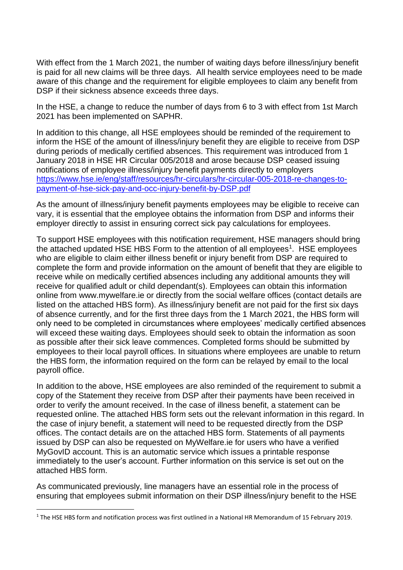With effect from the 1 March 2021, the number of waiting days before illness/injury benefit is paid for all new claims will be three days. All health service employees need to be made aware of this change and the requirement for eligible employees to claim any benefit from DSP if their sickness absence exceeds three days.

In the HSE, a change to reduce the number of days from 6 to 3 with effect from 1st March 2021 has been implemented on SAPHR.

In addition to this change, all HSE employees should be reminded of the requirement to inform the HSE of the amount of illness/injury benefit they are eligible to receive from DSP during periods of medically certified absences. This requirement was introduced from 1 January 2018 in HSE HR Circular 005/2018 and arose because DSP ceased issuing notifications of employee illness/injury benefit payments directly to employers [https://www.hse.ie/eng/staff/resources/hr-circulars/hr-circular-005-2018-re-changes-to](https://www.hse.ie/eng/staff/resources/hr-circulars/hr-circular-005-2018-re-changes-to-payment-of-hse-sick-pay-and-occ-injury-benefit-by-deasp.pdf)[payment-of-hse-sick-pay-and-occ-injury-benefit-by-DSP.pdf](https://www.hse.ie/eng/staff/resources/hr-circulars/hr-circular-005-2018-re-changes-to-payment-of-hse-sick-pay-and-occ-injury-benefit-by-deasp.pdf)

As the amount of illness/injury benefit payments employees may be eligible to receive can vary, it is essential that the employee obtains the information from DSP and informs their employer directly to assist in ensuring correct sick pay calculations for employees.

To support HSE employees with this notification requirement, HSE managers should bring the attached updated HSE HBS Form to the attention of all employees<sup>1</sup>. HSE employees who are eligible to claim either illness benefit or injury benefit from DSP are required to complete the form and provide information on the amount of benefit that they are eligible to receive while on medically certified absences including any additional amounts they will receive for qualified adult or child dependant(s). Employees can obtain this information online from www.mywelfare.ie or directly from the social welfare offices (contact details are listed on the attached HBS form). As illness/injury benefit are not paid for the first six days of absence currently, and for the first three days from the 1 March 2021, the HBS form will only need to be completed in circumstances where employees' medically certified absences will exceed these waiting days. Employees should seek to obtain the information as soon as possible after their sick leave commences. Completed forms should be submitted by employees to their local payroll offices. In situations where employees are unable to return the HBS form, the information required on the form can be relayed by email to the local payroll office.

In addition to the above, HSE employees are also reminded of the requirement to submit a copy of the Statement they receive from DSP after their payments have been received in order to verify the amount received. In the case of illness benefit, a statement can be requested online. The attached HBS form sets out the relevant information in this regard. In the case of injury benefit, a statement will need to be requested directly from the DSP offices. The contact details are on the attached HBS form. Statements of all payments issued by DSP can also be requested on MyWelfare.ie for users who have a verified MyGovID account. This is an automatic service which issues a printable response immediately to the user's account. Further information on this service is set out on the attached HBS form.

As communicated previously, line managers have an essential role in the process of ensuring that employees submit information on their DSP illness/injury benefit to the HSE

**.** 

<sup>&</sup>lt;sup>1</sup> The HSE HBS form and notification process was first outlined in a National HR Memorandum of 15 February 2019.